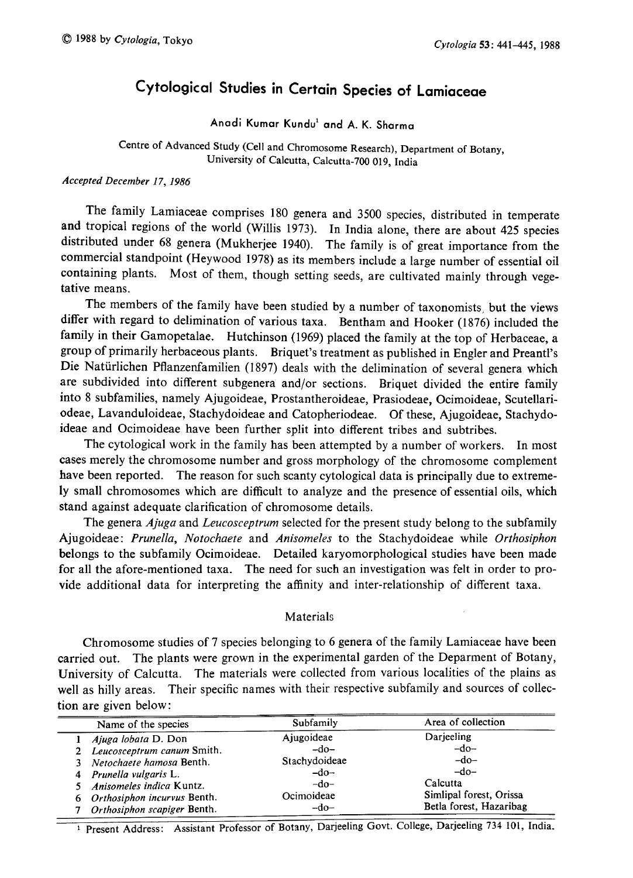# Cytological Studies in Certain Species of Lamiaceae

Anadi Kumar Kundu<sup>1</sup> and A. K. Sharma

Centre of Advanced Study (Cell and Chromosome Research) , Department of Botany, University of Calcutta, Calcutta-700 019, India

## Accepted December 17, 1986

The family Lamiaceae comprises 180 genera and 3500 species , distributed in temperate and tropical regions of the world (Willis 1973). In India alone, there are about 425 species distributed under 68 genera (Mukherjee 1940). The family is of great importance from the commercial standpoint (Heywood 1978) as its members include a large number of essential oil containing plants. Most of them, though setting seeds , are cultivated mainly through vege tative means.

The members of the family have been studied by a number of taxonomists, but the views differ with regard to delimination of various taxa. Bentham and Hooker (1876) included the family in their Gamopetalae. Hutchinson (1969) placed the family at the top of Herbaceae , a group of primarily herbaceous plants. Briquet's treatment as published in Engler and Preantl's Die Naturlichen Pflanzenfamilien (1897) deals with the delimination of several genera which are subdivided into different subgenera and/or sections. Briquet divided the entire family into 8 subfamilies, namely Ajugoideae, Prostantheroideae, Prasiodeae , Ocimoideae, Scutellari odeae, Lavanduloideae, Stachydoideae and Catopheriodeae. Of these , Ajugoideae, Stachydo ideae and Ocimoideae have been further split into different tribes and subtribes.

The cytological work in the family has been attempted by a number of workers. In most cases merely the chromosome number and gross morphology of the chromosome complement have been reported. The reason for such scanty cytological data is principally due to extremely small chromosomes which are difficult to analyze and the presence of essential oils, which stand against adequate clarification of chromosome details.

The genera *Ajuga* and *Leucosceptrum* selected for the present study belong to the subfamily Ajugoideae: Prunella, Notochaete and Anisomeles to the Stachydoideae while Orthosiphon belongs to the subfamily Ocimoideae. Detailed karyomorphological studies have been made for all the afore-mentioned taxa. The need for such an investigation was felt in order to pro vide additional data for interpreting the affinity and inter-relationship of different taxa.

## Materials

Chromosome studies of 7 species belonging to 6 genera of the family Lamiaceae have been carried out. The plants were grown in the experimental garden of the Deparment of Botany, University of Calcutta. The materials were collected from various localities of the plains as well as hilly areas. Their specific names with their respective subfamily and sources of collec tion are given below:

| Name of the species                                                                                                  | Subfamily                                | Area of collection                                             |
|----------------------------------------------------------------------------------------------------------------------|------------------------------------------|----------------------------------------------------------------|
| Ajuga lobata D. Don<br>2 Leucosceptrum canum Smith.<br>3 Netochaete hamosa Benth.                                    | Ajugoideae<br>$-do-$<br>Stachydoideae    | Darieeling<br>$-do-$<br>$-do-$<br>$-do-$                       |
| 4 Prunella vulgaris L.<br>5 Anisomeles indica Kuntz.<br>6 Orthosiphon incurvus Benth.<br>Orthosiphon scapiger Benth. | $-do-$<br>$-do-$<br>Ocimoideae<br>$-do-$ | Calcutta<br>Simlipal forest, Orissa<br>Betla forest, Hazaribag |

<sup>1</sup> Present Address: Assistant Professor of Botany, Darjeeling Govt. College, Darjeeling 734 101, India.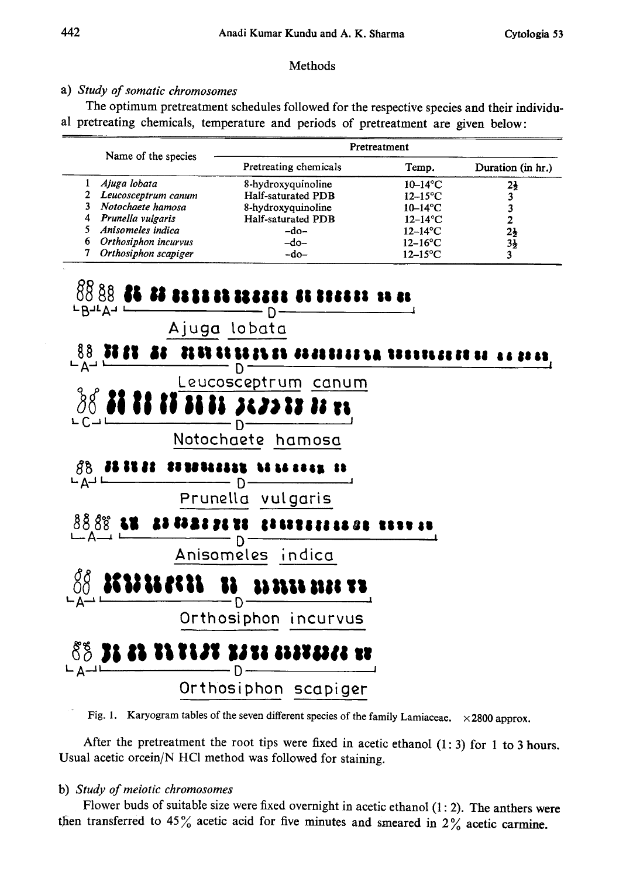## Methods

## a) Study of somatic chromosomes

The optimum pretreatment schedules followed for the respective species and their individu al pretreating chemicals, temperature and periods of pretreatment are given below:

|                        | Pretreatment          |                        |                   |  |
|------------------------|-----------------------|------------------------|-------------------|--|
| Name of the species    | Pretreating chemicals | Temp.                  | Duration (in hr.) |  |
| Ajuga lobata           | 8-hydroxyquinoline    | $10-14$ °C             | 21                |  |
| 2 Leucosceptrum canum  | Half-saturated PDB    | $12-15$ °C             |                   |  |
| 3 Notochaete hamosa    | 8-hydroxyquinoline    | $10-14$ <sup>o</sup> C |                   |  |
| Prunella vulgaris<br>4 | Half-saturated PDB    | $12-14$ °C             |                   |  |
| 5 Anisomeles indica    | $-do-$                | $12-14$ °C             | $2\frac{1}{2}$    |  |
| 6 Orthosiphon incurvus | $-do-$                | $12-16$ °C             | 34                |  |
| Orthosiphon scapiger   | $-do-$                | $12-15$ °C             |                   |  |



Fig. 1. Karyogram tables of the seven different species of the family Lamiaceae.  $\times$  2800 approx.

After the pretreatment the root tips were fixed in acetic ethanol (1:3) for 1 to 3 hours. Usual acetic orcein/N HCl method was followed for staining.

## b) Study of meiotic chromosomes

Flower buds of suitable size were fixed overnight in acetic ethanol  $(1:2)$ . The anthers were then transferred to 45% acetic acid for five minutes and smeared in  $2\%$  acetic carmine.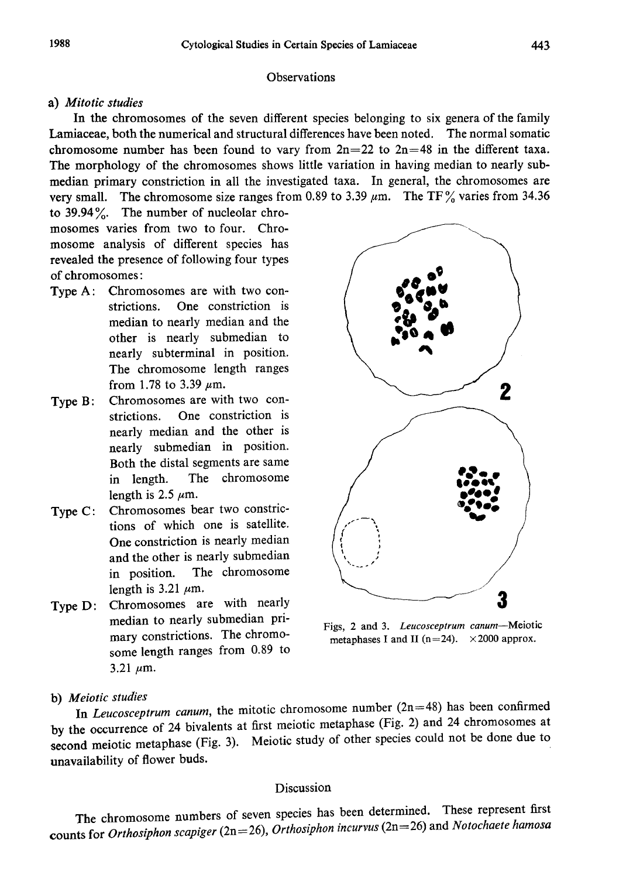#### **Observations**

### a) Mitotic studies

In the chromosomes of the seven different species belonging to six genera of the family Lamiaceae, both the numerical and structural differences have been noted. The normal somatic chromosome number has been found to vary from  $2n=22$  to  $2n=48$  in the different taxa. The morphology of the chromosomes shows little variation in having median to nearly sub median primary constriction in all the investigated taxa. In general, the chromosomes are very small. The chromosome size ranges from 0.89 to 3.39  $\mu$ m. The TF% varies from 34.36

to 39.94%. The number of nucleolar chro mosomes varies from two to four. Chro mosome analysis of different species has revealed the presence of following four types of chromosomes:

- Type A: Chromosomes are with two con strictions. One constriction is median to nearly median and the other is nearly submedian to nearly subterminal in position. The chromosome length ranges from 1.78 to 3.39  $\mu$ m.
- Type B: Chromosomes are with two constrictions. One constriction is nearly median and the other is nearly submedian in position. Both the distal segments are same in length. The chromosome length is 2.5  $\mu$ m.
- Type C: Chromosomes bear two constric tions of which one is satellite. One constriction is nearly median and the other is nearly submedian in position. The chromosome length is 3.21  $\mu$ m.
- Type D: Chromosomes are with nearly median to nearly submedian pri mary constrictions. The chromo some length ranges from 0.89 to 3.21  $\mu$ m.

 $\mathbf 2$ 

Figs, 2 and 3. Leucosceptrum canum-Meiotic metaphases I and II ( $n=24$ ).  $\times 2000$  approx.

b) Meiotic studies

In Leucosceptrum canum, the mitotic chromosome number  $(2n=48)$  has been confirmed by the occurrence of 24 bivalents at first meiotic metaphase (Fig. 2) and 24 chromosomes at second meiotic metaphase (Fig. 3). Meiotic study of other species could not be done due to unavailability of flower buds.

# Discussion

The chromosome numbers of seven species has been determined. These represent first counts for Orthosiphon scapiger (2n=26), Orthosiphon incurvus (2n=26) and Notochaete hamosa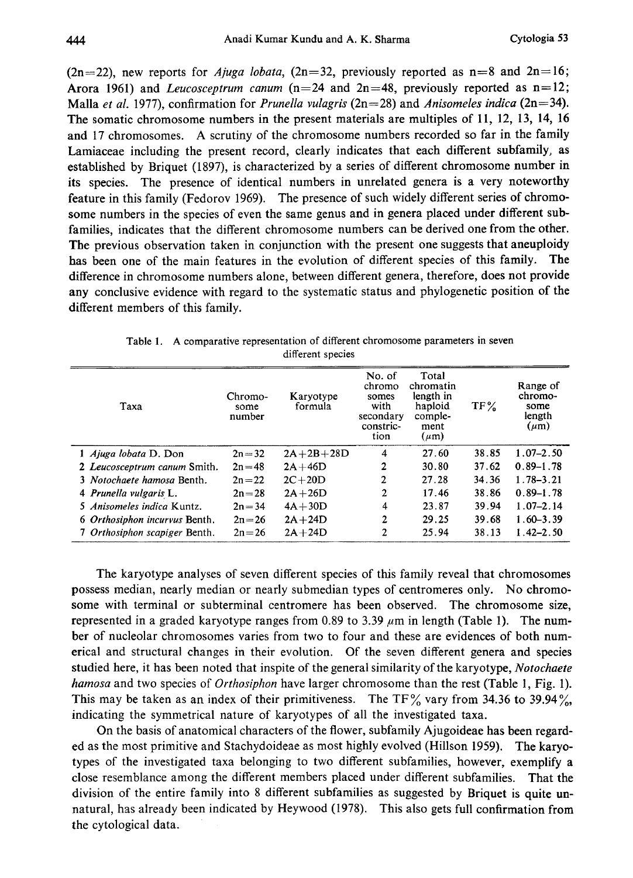$(2n=22)$ , new reports for *Ajuga lobata*,  $(2n=32)$ , previously reported as  $n=8$  and  $2n=16$ ; Arora 1961) and *Leucosceptrum canum*  $(n=24 \text{ and } 2n=48,$  previously reported as  $n=12$ ; Malla et al. 1977), confirmation for Prunella vulagris ( $2n=28$ ) and Anisomeles indica ( $2n=34$ ). The somatic chromosome numbers in the present materials are multiples of 11, 12, 13, 14, 16 and 17 chromosomes. A scrutiny of the chromosome numbers recorded so far in the family Lamiaceae including the present record, clearly indicates that each different subfamily, as established by Briquet (1897), is characterized by a series of different chromosome number in its species. The presence of identical numbers in unrelated genera is a very noteworthy feature in this family (Fedorov 1969). The presence of such widely different series of chromo some numbers in the species of even the same genus and in genera placed under different sub families, indicates that the different chromosome numbers can be derived one from the other. The previous observation taken in conjunction with the present one suggests that aneuploidy has been one of the main features in the evolution of different species of this family. The difference in chromosome numbers alone, between different genera, therefore, does not provide any conclusive evidence with regard to the systematic status and phylogenetic position of the different members of this family.

| Taxa                          | Chromo-<br>some<br>number | Karyotype<br>formula | No. of<br>chromo<br>somes<br>with<br>secondary<br>constric-<br>tion | Total<br>chromatin<br>length in<br>haploid<br>comple-<br>ment<br>$(\mu m)$ | TF%   | Range of<br>chromo-<br>some<br>length<br>$(\mu m)$ |
|-------------------------------|---------------------------|----------------------|---------------------------------------------------------------------|----------------------------------------------------------------------------|-------|----------------------------------------------------|
| 1 Ajuga lobata D. Don         | $2n = 32$                 | $2A+2B+28D$          | 4                                                                   | 27.60                                                                      | 38.85 | $1.07 - 2.50$                                      |
| 2 Leucosceptrum canum Smith.  | $2n = 48$                 | $2A+46D$             | $\mathbf{2}$                                                        | 30.80                                                                      | 37.62 | $0.89 - 1.78$                                      |
| 3 Notochaete hamosa Benth.    | $2n = 22$                 | $2C+20D$             | 2                                                                   | 27 28                                                                      | 34.36 | $1.78 - 3.21$                                      |
| 4 Prunella vulgaris L.        | $2n = 28$                 | $2A+26D$             | 2                                                                   | 17.46                                                                      | 38.86 | $0.89 - 1.78$                                      |
| 5 Anisomeles indica Kuntz.    | $2n = 34$                 | $4A+30D$             | 4                                                                   | 23.87                                                                      | 39.94 | $1.07 - 2.14$                                      |
| 6 Orthosiphon incurvus Benth. | $2n = 26$                 | $2A+24D$             | 2                                                                   | 29.25                                                                      | 39.68 | $1.60 - 3.39$                                      |
| 7 Orthosiphon scapiger Benth. | $2n = 26$                 | $2A+24D$             | 2                                                                   | 25.94                                                                      | 38.13 | $1.42 - 2.50$                                      |

Table 1. A comparative representation of different chromosome parameters in seven different species

The karyotype analyses of seven different species of this family reveal that chromosomes possess median, nearly median or nearly submedian types of centromeres only. No chromo some with terminal or subterminal centromere has been observed. The chromosome size, represented in a graded karyotype ranges from 0.89 to 3.39  $\mu$ m in length (Table 1). The number of nucleolar chromosomes varies from two to four and these are evidences of both num erical and structural changes in their evolution. Of the seven different genera and species studied here, it has been noted that inspite of the general similarity of the karyotype, Notochaete hamosa and two species of Orthosiphon have larger chromosome than the rest (Table 1, Fig. 1). This may be taken as an index of their primitiveness. The TF% vary from 34.36 to 39.94%, indicating the symmetrical nature of karyotypes of all the investigated taxa.

On the basis of anatomical characters of the flower, subfamily Ajugoideae has been regard ed as the most primitive and Stachydoideae as most highly evolved (Hillson 1959). The karyo types of the investigated taxa belonging to two different subfamilies, however, exemplify a close resemblance among the different members placed under different subfamilies. That the division of the entire family into 8 different subfamilies as suggested by Briquet is quite un natural, has already been indicated by Heywood (1978). This also gets full confirmation from the cytological data.